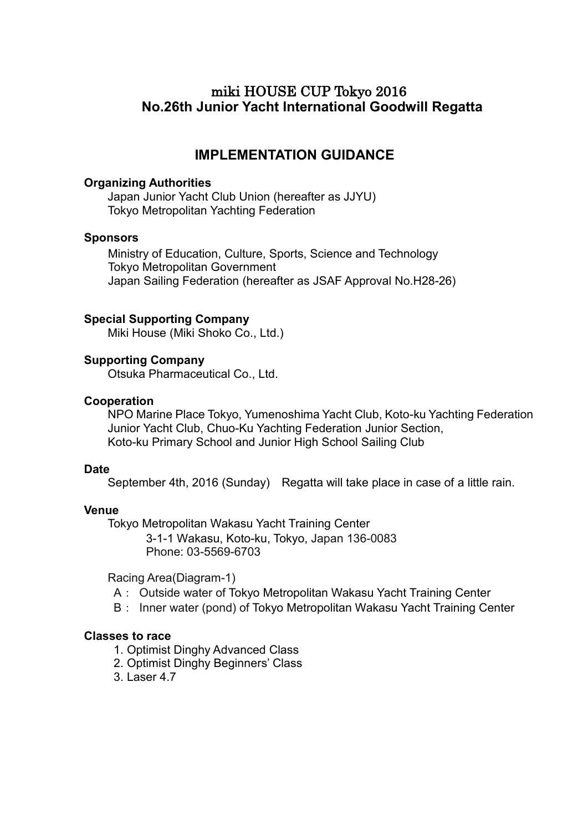# miki HOUSE CUP Tokyo 2016 **No.26th Junior Yacht International Goodwill Regatta**

# **IMPLEMENTATION GUIDANCE**

#### **Organizing Authorities**

Japan Junior Yacht Club Union (hereafter as JJYU) Tokyo Metropolitan Yachting Federation

#### **Sponsors**

Ministry of Education, Culture, Sports, Science and Technology Tokyo Metropolitan Government Japan Sailing Federation (hereafter as JSAF Approval No.H28-26)

## **Special Supporting Company**

Miki House (Miki Shoko Co., Ltd.)

#### **Supporting Company**

Otsuka Pharmaceutical Co., Ltd.

#### **Cooperation**

NPO Marine Place Tokyo, Yumenoshima Yacht Club, Koto-ku Yachting Federation Junior Yacht Club, Chuo-Ku Yachting Federation Junior Section, Koto-ku Primary School and Junior High School Sailing Club

#### **Date**

September 4th, 2016 (Sunday) Regatta will take place in case of a little rain.

#### **Venue**

Tokyo Metropolitan Wakasu Yacht Training Center

3-1-1 Wakasu, Koto-ku, Tokyo, Japan 136-0083 Phone: 03-5569-6703

Racing Area(Diagram-1)

- A: Outside water of Tokyo Metropolitan Wakasu Yacht Training Center
- B: Inner water (pond) of Tokyo Metropolitan Wakasu Yacht Training Center

#### **Classes to race**

- 1. Optimist Dinghy Advanced Class
- 2. Optimist Dinghy Beginners' Class
- 3. Laser 4.7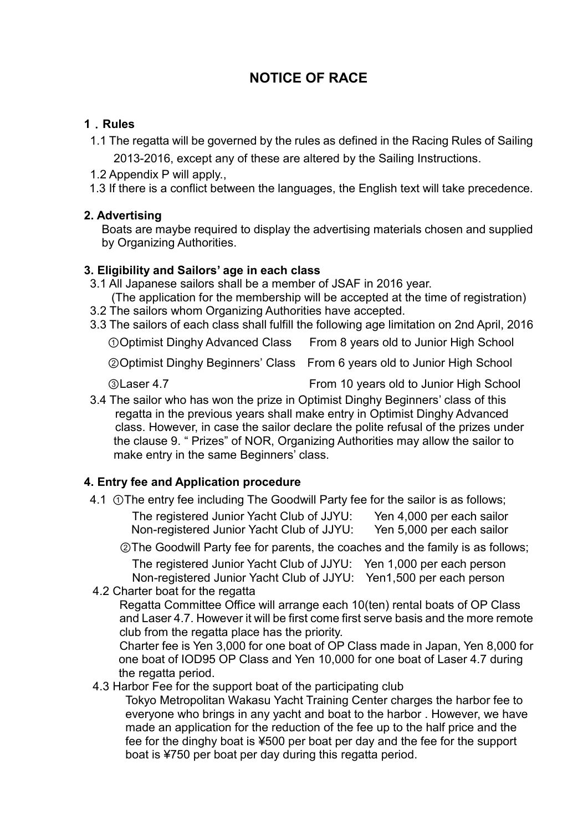# **NOTICE OF RACE**

## **1**.**Rules**

- 1.1 The regatta will be governed by the rules as defined in the Racing Rules of Sailing 2013‐2016, except any of these are altered by the Sailing Instructions.
- 1.2 Appendix P will apply.,
- 1.3 If there is a conflict between the languages, the English text will take precedence.

## **2. Advertising**

Boats are maybe required to display the advertising materials chosen and supplied by Organizing Authorities.

## **3. Eligibility and Sailors' age in each class**

- 3.1 All Japanese sailors shall be a member of JSAF in 2016 year. (The application for the membership will be accepted at the time of registration)
- 3.2 The sailors whom Organizing Authorities have accepted.
- 3.3 The sailors of each class shall fulfill the following age limitation on 2nd April, 2016

①Optimist Dinghy Advanced Class From 8 years old to Junior High School

②Optimist Dinghy Beginners' Class From 6 years old to Junior High School

③Laser 4.7 From 10 years old to Junior High School

3.4 The sailor who has won the prize in Optimist Dinghy Beginners' class of this regatta in the previous years shall make entry in Optimist Dinghy Advanced class. However, in case the sailor declare the polite refusal of the prizes under the clause 9. " Prizes" of NOR, Organizing Authorities may allow the sailor to make entry in the same Beginners' class.

## **4. Entry fee and Application procedure**

4.1 ①The entry fee including The Goodwill Party fee for the sailor is as follows; The registered Junior Yacht Club of JJYU: Yen 4,000 per each sailor Non-registered Junior Yacht Club of JJYU: Yen 5,000 per each sailor

②The Goodwill Party fee for parents, the coaches and the family is as follows; The registered Junior Yacht Club of JJYU: Yen 1,000 per each person Non-registered Junior Yacht Club of JJYU: Yen1,500 per each person

## 4.2 Charter boat for the regatta

Regatta Committee Office will arrange each 10(ten) rental boats of OP Class and Laser 4.7. However it will be first come first serve basis and the more remote club from the regatta place has the priority.

Charter fee is Yen 3,000 for one boat of OP Class made in Japan, Yen 8,000 for one boat of IOD95 OP Class and Yen 10,000 for one boat of Laser 4.7 during the regatta period.

## 4.3 Harbor Fee for the support boat of the participating club

Tokyo Metropolitan Wakasu Yacht Training Center charges the harbor fee to everyone who brings in any yacht and boat to the harbor . However, we have made an application for the reduction of the fee up to the half price and the fee for the dinghy boat is ¥500 per boat per day and the fee for the support boat is ¥750 per boat per day during this regatta period.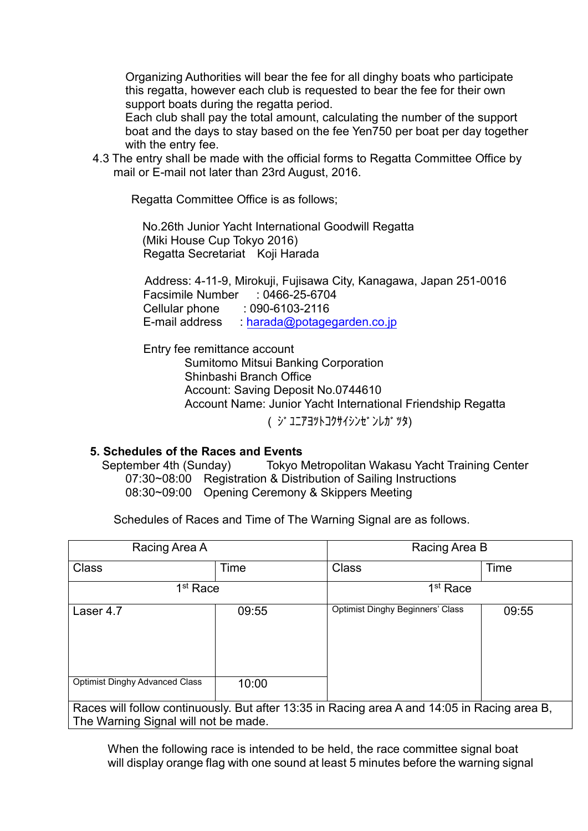Organizing Authorities will bear the fee for all dinghy boats who participate this regatta, however each club is requested to bear the fee for their own support boats during the regatta period.

 Each club shall pay the total amount, calculating the number of the support boat and the days to stay based on the fee Yen750 per boat per day together with the entry fee.

4.3 The entry shall be made with the official forms to Regatta Committee Office by mail or E-mail not later than 23rd August, 2016.

Regatta Committee Office is as follows;

No.26th Junior Yacht International Goodwill Regatta (Miki House Cup Tokyo 2016) Regatta Secretariat Koji Harada

Address: 4-11-9, Mirokuji, Fujisawa City, Kanagawa, Japan 251-0016 Facsimile Number : 0466-25-6704 Cellular phone : 090-6103-2116 E-mail address : [harada@potagegarden.c](mailto:pika.morita@gmail.com)o.jp

Entry fee remittance account Sumitomo Mitsui Banking Corporation Shinbashi Branch Office Account: Saving Deposit No.0744610 Account Name: Junior Yacht International Friendship Regatta ( ジ ユニアヨツトコクサイシンゼンレガツタ)

## **5. Schedules of the Races and Events**

September 4th (Sunday) Tokyo Metropolitan Wakasu Yacht Training Center 07:30~08:00 Registration & Distribution of Sailing Instructions 08:30~09:00 Opening Ceremony & Skippers Meeting

Schedules of Races and Time of The Warning Signal are as follows.

| Racing Area A                                                                                |       | Racing Area B                           |       |
|----------------------------------------------------------------------------------------------|-------|-----------------------------------------|-------|
| <b>Class</b>                                                                                 | Time  | <b>Class</b>                            | Time  |
| 1 <sup>st</sup> Race                                                                         |       | 1 <sup>st</sup> Race                    |       |
| Laser 4.7                                                                                    | 09:55 | <b>Optimist Dinghy Beginners' Class</b> | 09:55 |
| <b>Optimist Dinghy Advanced Class</b>                                                        | 10:00 |                                         |       |
| Races will follow continuously. But after 13:35 in Racing area A and 14:05 in Racing area B, |       |                                         |       |
| The Warning Signal will not be made.                                                         |       |                                         |       |

When the following race is intended to be held, the race committee signal boat will display orange flag with one sound at least 5 minutes before the warning signal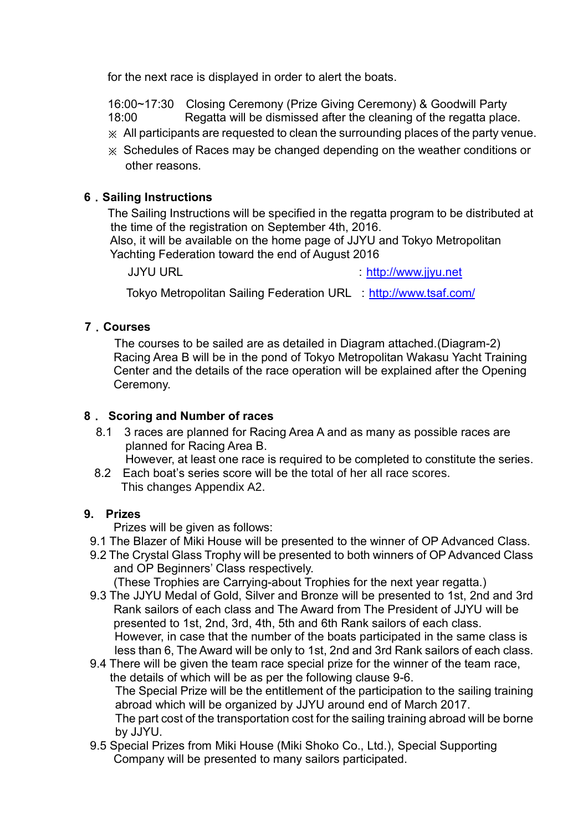for the next race is displayed in order to alert the boats.

 16:00~17:30 Closing Ceremony (Prize Giving Ceremony) & Goodwill Party 18:00 Regatta will be dismissed after the cleaning of the regatta place.

- ※ All participants are requested to clean the surrounding places of the party venue.
- ※ Schedules of Races may be changed depending on the weather conditions or other reasons.

## **6**.**Sailing Instructions**

The Sailing Instructions will be specified in the regatta program to be distributed at the time of the registration on September 4th, 2016.

Also, it will be available on the home page of JJYU and Tokyo Metropolitan Yachting Federation toward the end of August 2016

JJYU URL in the state of the state of the state of the state of the state of the state of the state of the state of the state of the state of the state of the state of the state of the state of the state of the state of th

Tokyo Metropolitan Sailing Federation URL : <http://www.tsaf.com/>

## **7**.**Courses**

The courses to be sailed are as detailed in Diagram attached.(Diagram-2) Racing Area B will be in the pond of Tokyo Metropolitan Wakasu Yacht Training Center and the details of the race operation will be explained after the Opening Ceremony.

## **8**. **Scoring and Number of races**

 8.1 3 races are planned for Racing Area A and as many as possible races are planned for Racing Area B.

However, at least one race is required to be completed to constitute the series.

8.2 Each boat's series score will be the total of her all race scores. This changes Appendix A2.

## **9. Prizes**

Prizes will be given as follows:

- 9.1 The Blazer of Miki House will be presented to the winner of OP Advanced Class.
- 9.2 The Crystal Glass Trophy will be presented to both winners of OP Advanced Class and OP Beginners' Class respectively.

(These Trophies are Carrying-about Trophies for the next year regatta.)

9.3 The JJYU Medal of Gold, Silver and Bronze will be presented to 1st, 2nd and 3rd Rank sailors of each class and The Award from The President of JJYU will be presented to 1st, 2nd, 3rd, 4th, 5th and 6th Rank sailors of each class. However, in case that the number of the boats participated in the same class is less than 6, The Award will be only to 1st, 2nd and 3rd Rank sailors of each class.

9.4 There will be given the team race special prize for the winner of the team race, the details of which will be as per the following clause 9-6. The Special Prize will be the entitlement of the participation to the sailing training abroad which will be organized by JJYU around end of March 2017. The part cost of the transportation cost for the sailing training abroad will be borne by JJYU.

9.5 Special Prizes from Miki House (Miki Shoko Co., Ltd.), Special Supporting Company will be presented to many sailors participated.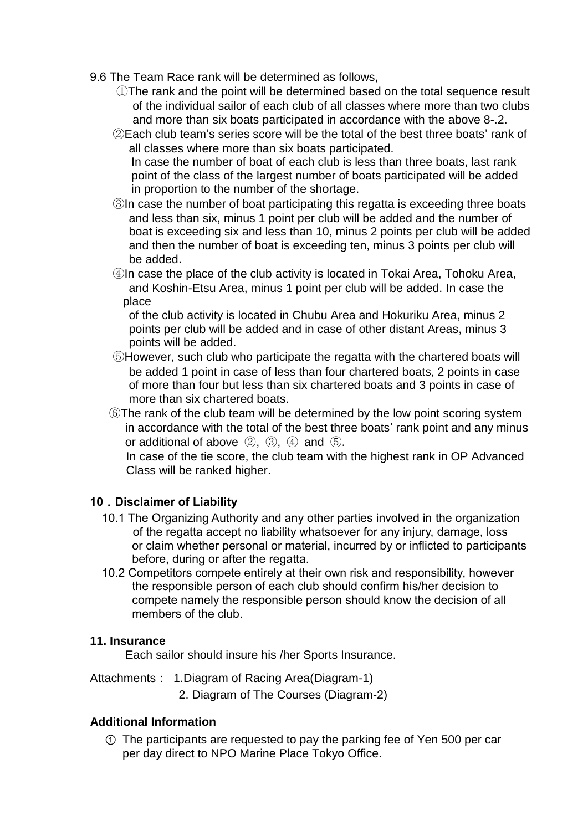9.6 The Team Race rank will be determined as follows,

- ①The rank and the point will be determined based on the total sequence result of the individual sailor of each club of all classes where more than two clubs and more than six boats participated in accordance with the above 8-.2.
- ②Each club team's series score will be the total of the best three boats' rank of all classes where more than six boats participated.
	- In case the number of boat of each club is less than three boats, last rank point of the class of the largest number of boats participated will be added in proportion to the number of the shortage.
- ③In case the number of boat participating this regatta is exceeding three boats and less than six, minus 1 point per club will be added and the number of boat is exceeding six and less than 10, minus 2 points per club will be added and then the number of boat is exceeding ten, minus 3 points per club will be added.
- ④In case the place of the club activity is located in Tokai Area, Tohoku Area, and Koshin-Etsu Area, minus 1 point per club will be added. In case the place

of the club activity is located in Chubu Area and Hokuriku Area, minus 2 points per club will be added and in case of other distant Areas, minus 3 points will be added.

- ⑤However, such club who participate the regatta with the chartered boats will be added 1 point in case of less than four chartered boats, 2 points in case of more than four but less than six chartered boats and 3 points in case of more than six chartered boats.
- ⑥The rank of the club team will be determined by the low point scoring system in accordance with the total of the best three boats' rank point and any minus or additional of above  $(2)$ ,  $(3)$ ,  $(4)$  and  $(5)$ .

In case of the tie score, the club team with the highest rank in OP Advanced Class will be ranked higher.

## **10**.**Disclaimer of Liability**

- 10.1 The Organizing Authority and any other parties involved in the organization of the regatta accept no liability whatsoever for any injury, damage, loss or claim whether personal or material, incurred by or inflicted to participants before, during or after the regatta.
- 10.2 Competitors compete entirely at their own risk and responsibility, however the responsible person of each club should confirm his/her decision to compete namely the responsible person should know the decision of all members of the club.

## **11. Insurance**

Each sailor should insure his /her Sports Insurance.

- Attachments: 1.Diagram of Racing Area(Diagram-1)
	- 2. Diagram of The Courses (Diagram-2)

## **Additional Information**

① The participants are requested to pay the parking fee of Yen 500 per car per day direct to NPO Marine Place Tokyo Office.